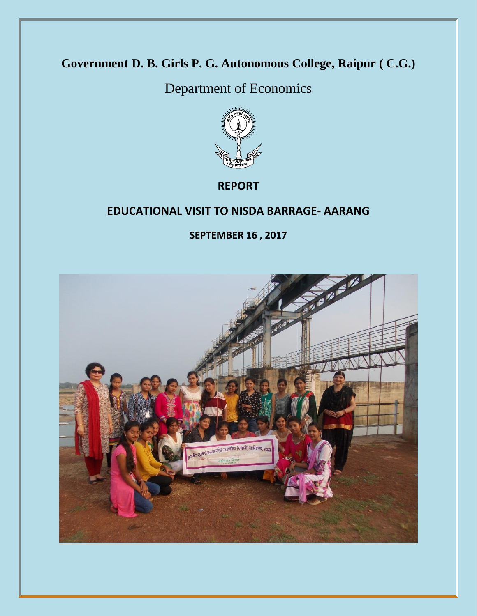# **Government D. B. Girls P. G. Autonomous College, Raipur ( C.G.)**

Department of Economics



**REPORT**

#### **EDUCATIONAL VISIT TO NISDA BARRAGE- AARANG**

**SEPTEMBER 16 , 2017**

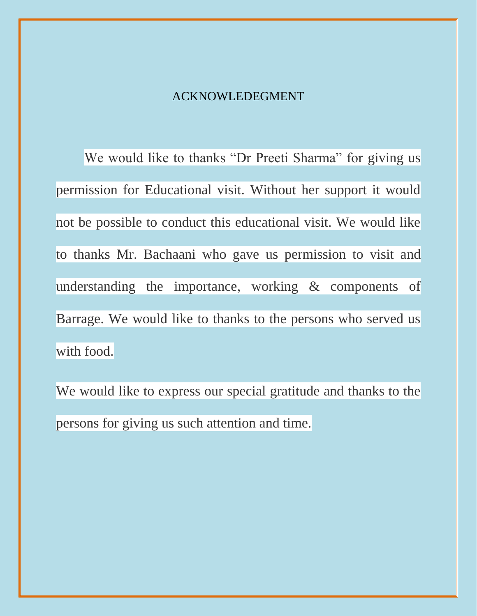#### ACKNOWLEDEGMENT

We would like to thanks "Dr Preeti Sharma" for giving us permission for Educational visit. Without her support it would not be possible to conduct this educational visit. We would like to thanks Mr. Bachaani who gave us permission to visit and understanding the importance, working & components of Barrage. We would like to thanks to the persons who served us with food.

We would like to express our special gratitude and thanks to the persons for giving us such attention and time.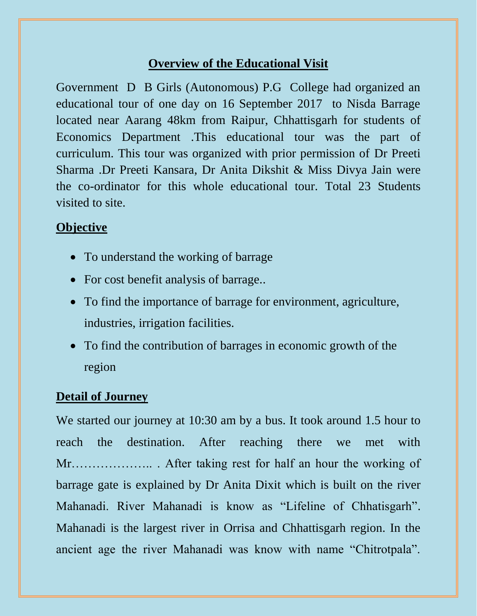## **Overview of the Educational Visit**

Government D B Girls (Autonomous) P.G College had organized an educational tour of one day on 16 September 2017 to Nisda Barrage located near Aarang 48km from Raipur, Chhattisgarh for students of Economics Department .This educational tour was the part of curriculum. This tour was organized with prior permission of Dr Preeti Sharma .Dr Preeti Kansara, Dr Anita Dikshit & Miss Divya Jain were the co-ordinator for this whole educational tour. Total 23 Students visited to site.

## **Objective**

- To understand the working of barrage
- For cost benefit analysis of barrage..
- To find the importance of barrage for environment, agriculture, industries, irrigation facilities.
- To find the contribution of barrages in economic growth of the region

## **Detail of Journey**

We started our journey at 10:30 am by a bus. It took around 1.5 hour to reach the destination. After reaching there we met with Mr……………….. . After taking rest for half an hour the working of barrage gate is explained by Dr Anita Dixit which is built on the river Mahanadi. River Mahanadi is know as "Lifeline of Chhatisgarh". Mahanadi is the largest river in Orrisa and Chhattisgarh region. In the ancient age the river Mahanadi was know with name "Chitrotpala".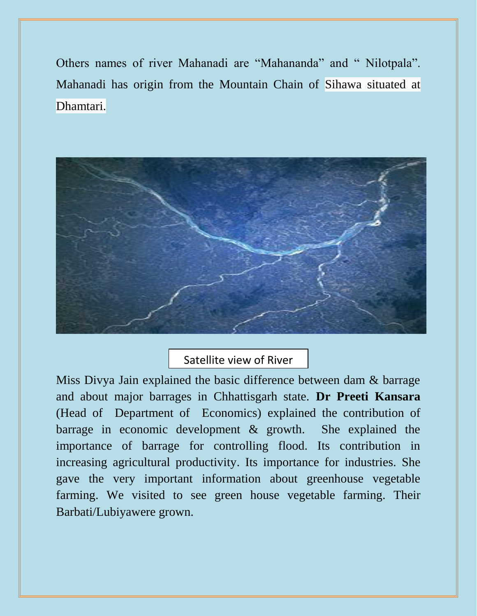Others names of river Mahanadi are "Mahananda" and " Nilotpala". Mahanadi has origin from the Mountain Chain of Sihawa situated at Dhamtari.



Satellite view of River

Miss Divya Jain explained the basic difference between dam  $\&$  barrage and about major barrages in Chhattisgarh state. **Dr Preeti Kansara** (Head of Department of Economics) explained the contribution of barrage in economic development & growth. She explained the importance of barrage for controlling flood. Its contribution in increasing agricultural productivity. Its importance for industries. She gave the very important information about greenhouse vegetable farming. We visited to see green house vegetable farming. Their Barbati/Lubiyawere grown.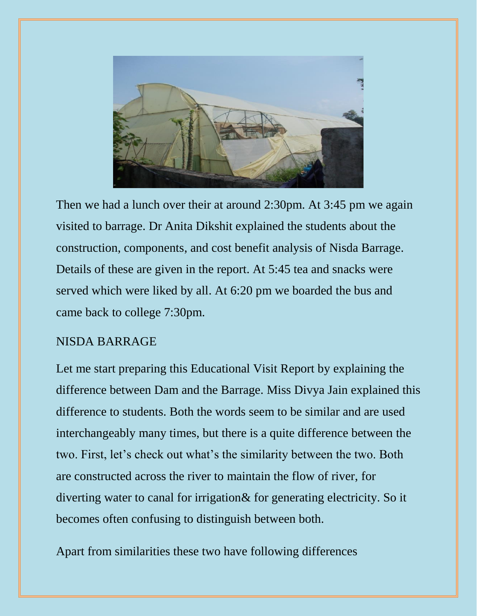

Then we had a lunch over their at around 2:30pm. At 3:45 pm we again visited to barrage. Dr Anita Dikshit explained the students about the construction, components, and cost benefit analysis of Nisda Barrage. Details of these are given in the report. At 5:45 tea and snacks were served which were liked by all. At 6:20 pm we boarded the bus and came back to college 7:30pm.

### NISDA BARRAGE

Let me start preparing this Educational Visit Report by explaining the difference between Dam and the Barrage. Miss Divya Jain explained this difference to students. Both the words seem to be similar and are used interchangeably many times, but there is a quite difference between the two. First, let's check out what's the similarity between the two. Both are constructed across the river to maintain the flow of river, for diverting water to canal for irrigation& for generating electricity. So it becomes often confusing to distinguish between both.

Apart from similarities these two have following differences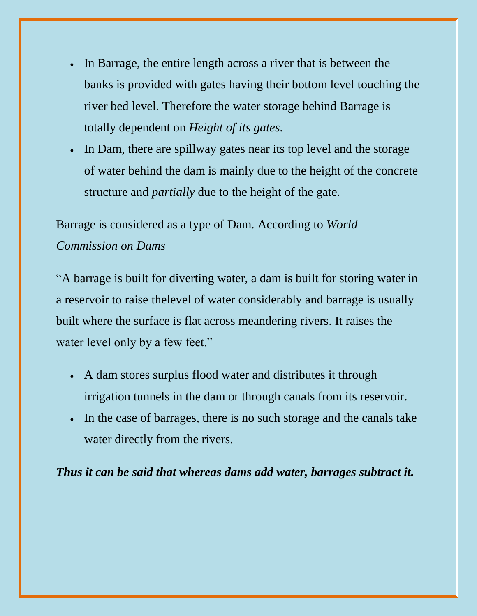- In Barrage, the entire length across a river that is between the banks is provided with gates having their bottom level touching the river bed level. Therefore the water storage behind Barrage is totally dependent on *Height of its gates.*
- In Dam, there are spillway gates near its top level and the storage of water behind the dam is mainly due to the height of the concrete structure and *partially* due to the height of the gate.

Barrage is considered as a type of Dam. According to *World Commission on Dams*

"A barrage is built for diverting water, a dam is built for storing water in a reservoir to raise thelevel of water considerably and barrage is usually built where the surface is flat across meandering rivers. It raises the water level only by a few feet."

- A dam stores surplus flood water and distributes it through irrigation tunnels in the dam or through canals from its reservoir.
- In the case of barrages, there is no such storage and the canals take water directly from the rivers.

*Thus it can be said that whereas dams add water, barrages subtract it.*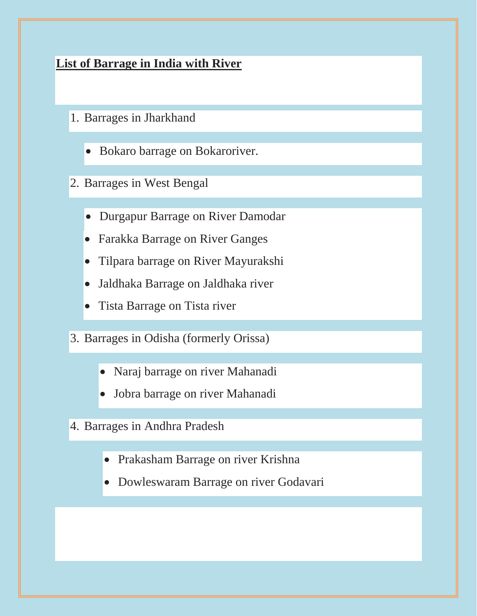## **List of Barrage in India with River**

- 1. Barrages in Jharkhand
	- Bokaro barrage on Bokaroriver.
- 2. Barrages in West Bengal
	- Durgapur Barrage on River Damodar
	- Farakka Barrage on River Ganges
	- Tilpara barrage on River Mayurakshi
	- Jaldhaka Barrage on Jaldhaka river
	- Tista Barrage on Tista river
- 3. Barrages in Odisha (formerly Orissa)
	- Naraj barrage on river Mahanadi
	- Jobra barrage on river Mahanadi
- 4. Barrages in Andhra Pradesh
	- Prakasham Barrage on river Krishna
	- Dowleswaram Barrage on river Godavari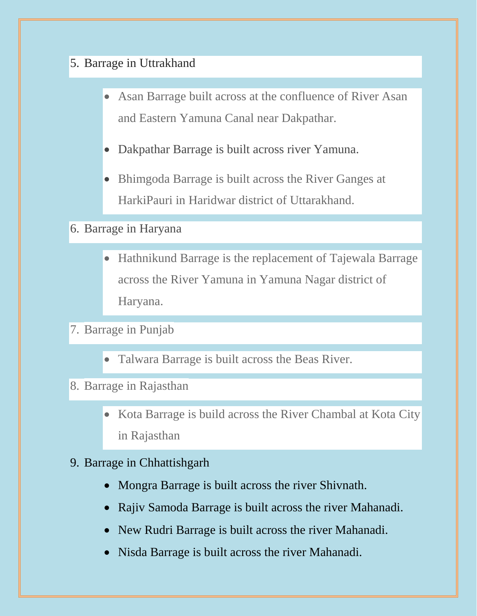## 5. Barrage in Uttrakhand

- Asan Barrage built across at the confluence of River Asan and Eastern Yamuna Canal near Dakpathar.
- Dakpathar Barrage is built across river Yamuna.
- Bhimgoda Barrage is built across the River Ganges at HarkiPauri in Haridwar district of Uttarakhand.

## 6. Barrage in Haryana

- Hathnikund Barrage is the replacement of Tajewala Barrage across the River Yamuna in Yamuna Nagar district of Haryana.
- 7. Barrage in Punjab
	- Talwara Barrage is built across the Beas River.
- 8. Barrage in Rajasthan
	- Kota Barrage is build across the River Chambal at Kota City in Rajasthan

## 9. Barrage in Chhattishgarh

- Mongra Barrage is built across the river Shivnath.
- Rajiv Samoda Barrage is built across the river Mahanadi.
- New Rudri Barrage is built across the river Mahanadi.
- Nisda Barrage is built across the river Mahanadi.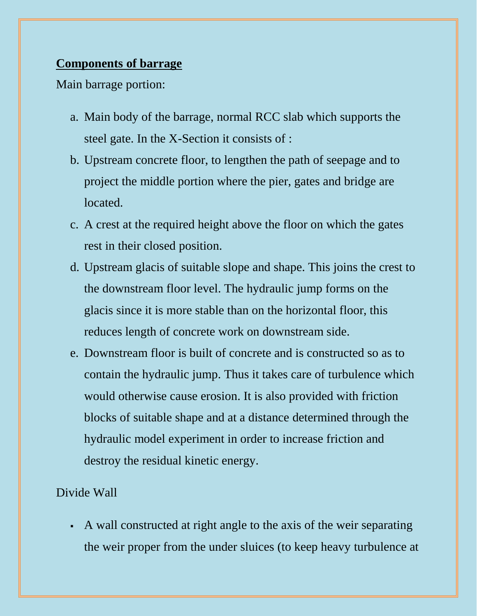#### **Components of barrage**

Main barrage portion:

- a. Main body of the barrage, normal RCC slab which supports the steel gate. In the X-Section it consists of :
- b. Upstream concrete floor, to lengthen the path of seepage and to project the middle portion where the pier, gates and bridge are located.
- c. A crest at the required height above the floor on which the gates rest in their closed position.
- d. Upstream glacis of suitable slope and shape. This joins the crest to the downstream floor level. The hydraulic jump forms on the glacis since it is more stable than on the horizontal floor, this reduces length of concrete work on downstream side.
- e. Downstream floor is built of concrete and is constructed so as to contain the hydraulic jump. Thus it takes care of turbulence which would otherwise cause erosion. It is also provided with friction blocks of suitable shape and at a distance determined through the hydraulic model experiment in order to increase friction and destroy the residual kinetic energy.

## Divide Wall

 A wall constructed at right angle to the axis of the weir separating the weir proper from the under sluices (to keep heavy turbulence at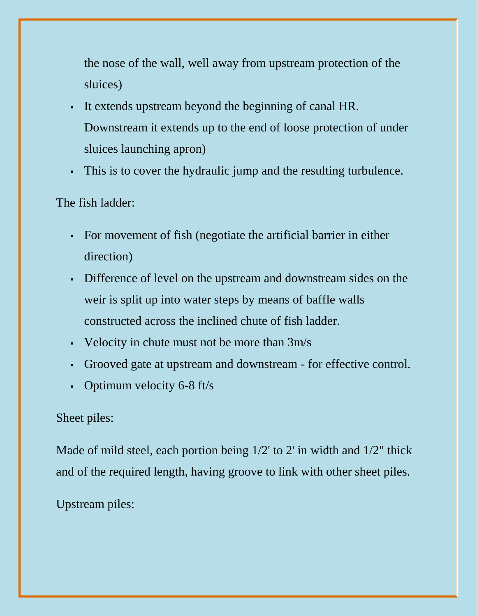the nose of the wall, well away from upstream protection of the sluices)

- It extends upstream beyond the beginning of canal HR. Downstream it extends up to the end of loose protection of under sluices launching apron)
- This is to cover the hydraulic jump and the resulting turbulence.

## The fish ladder:

- For movement of fish (negotiate the artificial barrier in either direction)
- Difference of level on the upstream and downstream sides on the weir is split up into water steps by means of baffle walls constructed across the inclined chute of fish ladder.
- Velocity in chute must not be more than  $3m/s$
- Grooved gate at upstream and downstream for effective control.
- Optimum velocity  $6-8$  ft/s

## Sheet piles:

Made of mild steel, each portion being 1/2' to 2' in width and 1/2" thick and of the required length, having groove to link with other sheet piles.

Upstream piles: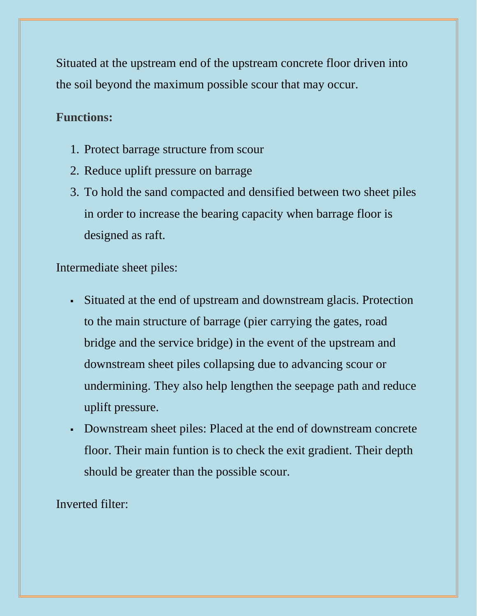Situated at the upstream end of the upstream concrete floor driven into the soil beyond the maximum possible scour that may occur.

### **Functions:**

- 1. Protect barrage structure from scour
- 2. Reduce uplift pressure on barrage
- 3. To hold the sand compacted and densified between two sheet piles in order to increase the bearing capacity when barrage floor is designed as raft.

Intermediate sheet piles:

- Situated at the end of upstream and downstream glacis. Protection to the main structure of barrage (pier carrying the gates, road bridge and the service bridge) in the event of the upstream and downstream sheet piles collapsing due to advancing scour or undermining. They also help lengthen the seepage path and reduce uplift pressure.
- Downstream sheet piles: Placed at the end of downstream concrete floor. Their main funtion is to check the exit gradient. Their depth should be greater than the possible scour.

Inverted filter: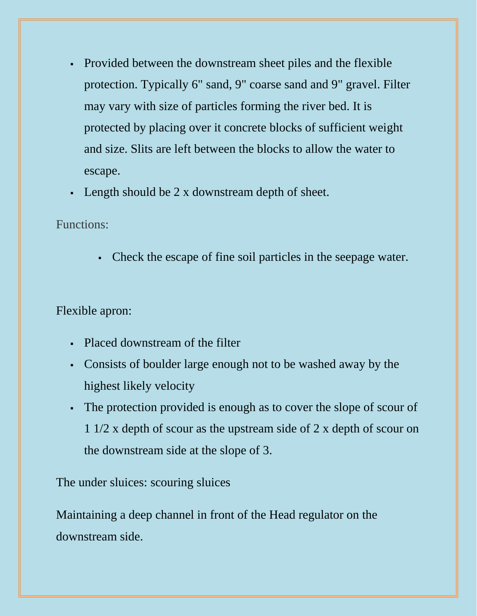- Provided between the downstream sheet piles and the flexible protection. Typically 6" sand, 9" coarse sand and 9" gravel. Filter may vary with size of particles forming the river bed. It is protected by placing over it concrete blocks of sufficient weight and size. Slits are left between the blocks to allow the water to escape.
- Length should be 2 x downstream depth of sheet.

Functions:

Check the escape of fine soil particles in the seepage water.

Flexible apron:

- Placed downstream of the filter
- Consists of boulder large enough not to be washed away by the highest likely velocity
- The protection provided is enough as to cover the slope of scour of 1 1/2 x depth of scour as the upstream side of 2 x depth of scour on the downstream side at the slope of 3.

The under sluices: scouring sluices

Maintaining a deep channel in front of the Head regulator on the downstream side.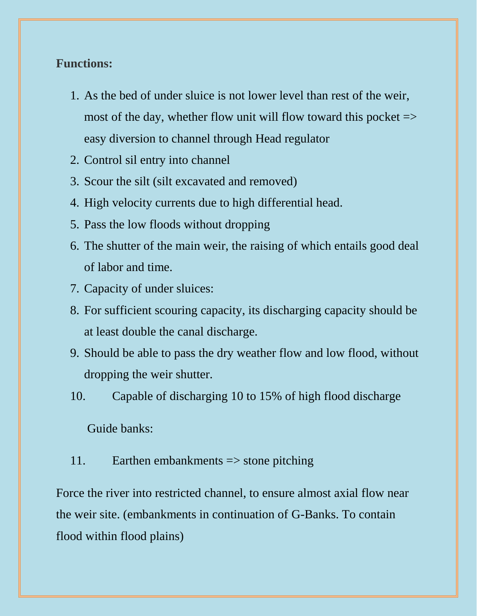#### **Functions:**

- 1. As the bed of under sluice is not lower level than rest of the weir, most of the day, whether flow unit will flow toward this pocket  $\Rightarrow$ easy diversion to channel through Head regulator
- 2. Control sil entry into channel
- 3. Scour the silt (silt excavated and removed)
- 4. High velocity currents due to high differential head.
- 5. Pass the low floods without dropping
- 6. The shutter of the main weir, the raising of which entails good deal of labor and time.
- 7. Capacity of under sluices:
- 8. For sufficient scouring capacity, its discharging capacity should be at least double the canal discharge.
- 9. Should be able to pass the dry weather flow and low flood, without dropping the weir shutter.
- 10. Capable of discharging 10 to 15% of high flood discharge

Guide banks:

11. Earthen embankments => stone pitching

Force the river into restricted channel, to ensure almost axial flow near the weir site. (embankments in continuation of G-Banks. To contain flood within flood plains)